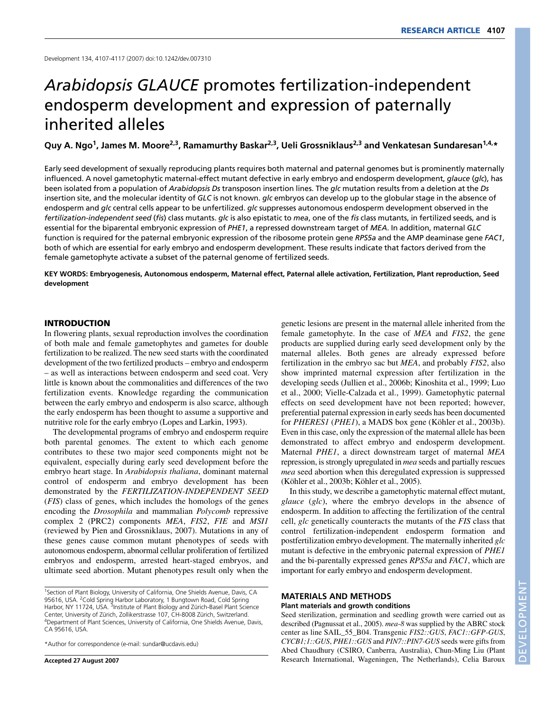# *Arabidopsis GLAUCE* promotes fertilization-independent endosperm development and expression of paternally inherited alleles

**Quy A. Ngo<sup>1</sup> , James M. Moore2,3, Ramamurthy Baskar2,3, Ueli Grossniklaus2,3 and Venkatesan Sundaresan1,4,\***

Early seed development of sexually reproducing plants requires both maternal and paternal genomes but is prominently maternally influenced. A novel gametophytic maternal-effect mutant defective in early embryo and endosperm development, *glauce* (*glc*), has been isolated from a population of *Arabidopsis Ds* transposon insertion lines. The *glc* mutation results from a deletion at the *Ds* insertion site, and the molecular identity of *GLC* is not known. *glc* embryos can develop up to the globular stage in the absence of endosperm and *glc* central cells appear to be unfertilized. *glc* suppresses autonomous endosperm development observed in the *fertilization-independent seed* (*fis*) class mutants. *glc* is also epistatic to *mea*, one of the *fis* class mutants, in fertilized seeds, and is essential for the biparental embryonic expression of *PHE1*, a repressed downstream target of *MEA*. In addition, maternal *GLC* function is required for the paternal embryonic expression of the ribosome protein gene *RPS5a* and the AMP deaminase gene *FAC1*, both of which are essential for early embryo and endosperm development. These results indicate that factors derived from the female gametophyte activate a subset of the paternal genome of fertilized seeds.

**KEY WORDS: Embryogenesis, Autonomous endosperm, Maternal effect, Paternal allele activation, Fertilization, Plant reproduction, Seed development**

# INTRODUCTION

In flowering plants, sexual reproduction involves the coordination of both male and female gametophytes and gametes for double fertilization to be realized. The new seed starts with the coordinated development of the two fertilized products – embryo and endosperm – as well as interactions between endosperm and seed coat. Very little is known about the commonalities and differences of the two fertilization events. Knowledge regarding the communication between the early embryo and endosperm is also scarce, although the early endosperm has been thought to assume a supportive and nutritive role for the early embryo (Lopes and Larkin, 1993).

The developmental programs of embryo and endosperm require both parental genomes. The extent to which each genome contributes to these two major seed components might not be equivalent, especially during early seed development before the embryo heart stage. In *Arabidopsis thaliana*, dominant maternal control of endosperm and embryo development has been demonstrated by the *FERTILIZATION-INDEPENDENT SEED* (*FIS*) class of genes, which includes the homologs of the genes encoding the *Drosophila* and mammalian *Polycomb* repressive complex 2 (PRC2) components *MEA*, *FIS2*, *FIE* and *MSI1* (reviewed by Pien and Grossniklaus, 2007). Mutations in any of these genes cause common mutant phenotypes of seeds with autonomous endosperm, abnormal cellular proliferation of fertilized embryos and endosperm, arrested heart-staged embryos, and ultimate seed abortion. Mutant phenotypes result only when the

\*Author for correspondence (e-mail: sundar@ucdavis.edu)

**Accepted 27 August 2007**

genetic lesions are present in the maternal allele inherited from the female gametophyte. In the case of *MEA* and *FIS2*, the gene products are supplied during early seed development only by the maternal alleles. Both genes are already expressed before fertilization in the embryo sac but *MEA*, and probably *FIS2*, also show imprinted maternal expression after fertilization in the developing seeds (Jullien et al., 2006b; Kinoshita et al., 1999; Luo et al., 2000; Vielle-Calzada et al., 1999). Gametophytic paternal effects on seed development have not been reported; however, preferential paternal expression in early seeds has been documented for *PHERES1* (*PHE1*), a MADS box gene (Köhler et al., 2003b). Even in this case, only the expression of the maternal allele has been demonstrated to affect embryo and endosperm development. Maternal *PHE1*, a direct downstream target of maternal *MEA* repression, is strongly upregulated in *mea* seeds and partially rescues *mea* seed abortion when this deregulated expression is suppressed (Köhler et al., 2003b; Köhler et al., 2005).

In this study, we describe a gametophytic maternal effect mutant, *glauce* (*glc*), where the embryo develops in the absence of endosperm. In addition to affecting the fertilization of the central cell, *glc* genetically counteracts the mutants of the *FIS* class that control fertilization-independent endosperm formation and postfertilization embryo development. The maternally inherited *glc* mutant is defective in the embryonic paternal expression of *PHE1* and the bi-parentally expressed genes *RPS5a* and *FAC1*, which are important for early embryo and endosperm development.

# **MATERIALS AND METHODS**

# **Plant materials and growth conditions**

Seed sterilization, germination and seedling growth were carried out as described (Pagnussat et al., 2005). *mea-8* was supplied by the ABRC stock center as line SAIL\_55\_B04. Transgenic *FIS2::GUS*, *FAC1::GFP-GUS*, *CYCB1;1::GUS*, *PHE1::GUS* and *PIN7::PIN7-GUS* seeds were gifts from Abed Chaudhury (CSIRO, Canberra, Australia), Chun-Ming Liu (Plant Research International, Wageningen, The Netherlands), Celia Baroux

<sup>&</sup>lt;sup>1</sup>Section of Plant Biology, University of California, One Shields Avenue, Davis, CA 95616, USA. 2Cold Spring Harbor Laboratory, 1 Bungtown Road, Cold Spring Harbor, NY 11724, USA. <sup>3</sup>Institute of Plant Biology and Zürich-Basel Plant Science Center, University of Zürich, Zollikerstrasse 107, CH-8008 Zürich, Switzerland. <sup>4</sup>Department of Plant Sciences, University of California, One Shields Avenue, Davis, CA 95616, USA.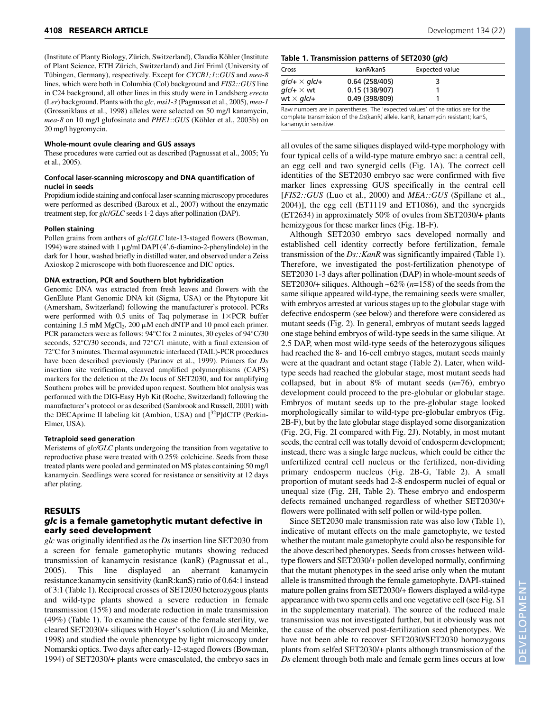(Institute of Planty Biology, Zürich, Switzerland), Claudia Köhler (Institute of Plant Science, ETH Zürich, Switzerland) and Jirí Friml (University of Tübingen, Germany), respectively. Except for *CYCB1;1*::*GUS* and *mea-8* lines, which were both in Columbia (Col) background and *FIS2::GUS* line in C24 background, all other lines in this study were in Landsberg *erecta* (L*er*) background. Plants with the *glc*, *msi1-3* (Pagnussat et al., 2005), *mea-1* (Grossniklaus et al., 1998) alleles were selected on 50 mg/l kanamycin, *mea-8* on 10 mg/l glufosinate and *PHE1*::*GUS* (Köhler et al., 2003b) on 20 mg/l hygromycin.

#### **Whole-mount ovule clearing and GUS assays**

These procedures were carried out as described (Pagnussat et al., 2005; Yu et al., 2005).

#### **Confocal laser-scanning microscopy and DNA quantification of nuclei in seeds**

Propidium iodide staining and confocal laser-scanning microscopy procedures were performed as described (Baroux et al., 2007) without the enzymatic treatment step, for *glc*/*GLC* seeds 1-2 days after pollination (DAP).

#### **Pollen staining**

Pollen grains from anthers of *glc*/*GLC* late-13-staged flowers (Bowman, 1994) were stained with 1  $\mu$ g/ml DAPI (4',6-diamino-2-phenylindole) in the dark for 1 hour, washed briefly in distilled water, and observed under a Zeiss Axioskop 2 microscope with both fluorescence and DIC optics.

#### **DNA extraction, PCR and Southern blot hybridization**

Genomic DNA was extracted from fresh leaves and flowers with the GenElute Plant Genomic DNA kit (Sigma, USA) or the Phytopure kit (Amersham, Switzerland) following the manufacturer's protocol. PCRs were performed with 0.5 units of Taq polymerase in  $1 \times PCR$  buffer containing 1.5 mM  $MgCl<sub>2</sub>$ , 200  $\mu$ M each dNTP and 10 pmol each primer. PCR parameters were as follows: 94°C for 2 minutes, 30 cycles of 94°C/30 seconds, 52°C/30 seconds, and 72°C/1 minute, with a final extension of 72°C for 3 minutes. Thermal asymmetric interlaced (TAIL)-PCR procedures have been described previously (Parinov et al., 1999). Primers for *Ds* insertion site verification, cleaved amplified polymorphisms (CAPS) markers for the deletion at the *Ds* locus of SET2030, and for amplifying Southern probes will be provided upon request. Southern blot analysis was performed with the DIG-Easy Hyb Kit (Roche, Switzerland) following the manufacturer's protocol or as described (Sambrook and Russell, 2001) with the DECAprime II labeling kit (Ambion, USA) and  $[^{32}P]$ dCTP (Perkin-Elmer, USA).

#### **Tetraploid seed generation**

Meristems of *glc/GLC* plants undergoing the transition from vegetative to reproductive phase were treated with 0.25% colchicine. Seeds from these treated plants were pooled and germinated on MS plates containing 50 mg/l kanamycin. Seedlings were scored for resistance or sensitivity at 12 days after plating.

#### RESULTS

# *glc* is a female gametophytic mutant defective in early seed development

*glc* was originally identified as the *Ds* insertion line SET2030 from a screen for female gametophytic mutants showing reduced transmission of kanamycin resistance (kanR) (Pagnussat et al., 2005). This line displayed an aberrant kanamycin resistance:kanamycin sensitivity (kanR:kanS) ratio of 0.64:1 instead of 3:1 (Table 1). Reciprocal crosses of SET2030 heterozygous plants and wild-type plants showed a severe reduction in female transmission (15%) and moderate reduction in male transmission (49%) (Table 1). To examine the cause of the female sterility, we cleared SET2030/+ siliques with Hoyer's solution (Liu and Meinke, 1998) and studied the ovule phenotype by light microscopy under Nomarski optics. Two days after early-12-staged flowers (Bowman, 1994) of SET2030/+ plants were emasculated, the embryo sacs in

# **Table 1. Transmission patterns of SET2030 (***glc***)**

| Cross               | kanR/kanS      | <b>Expected value</b>                                                           |  |
|---------------------|----------------|---------------------------------------------------------------------------------|--|
| $qlc/+\times qlc/+$ | 0.64(258/405)  |                                                                                 |  |
| $qlc/+ \times wt$   | 0.15(138/907)  |                                                                                 |  |
| wt $\times$ glc/+   | 0.49 (398/809) |                                                                                 |  |
|                     |                | Raw numbers are in parentheses. The 'expected values' of the ratios are for the |  |

Raw numbers are in parentheses. The 'expected values' of the ratios are for the complete transmission of the *Ds*(kanR) allele. kanR, kanamycin resistant; kanS, kanamycin sensitive.

all ovules of the same siliques displayed wild-type morphology with four typical cells of a wild-type mature embryo sac: a central cell, an egg cell and two synergid cells (Fig. 1A). The correct cell identities of the SET2030 embryo sac were confirmed with five marker lines expressing GUS specifically in the central cell [*FIS2::GUS* (Luo et al., 2000) and *MEA::GUS* (Spillane et al., 2004)], the egg cell (ET1119 and ET1086), and the synergids (ET2634) in approximately 50% of ovules from SET2030/+ plants hemizygous for these marker lines (Fig. 1B-F).

Although SET2030 embryo sacs developed normally and established cell identity correctly before fertilization, female transmission of the *Ds::KanR* was significantly impaired (Table 1). Therefore, we investigated the post-fertilization phenotype of SET2030 1-3 days after pollination (DAP) in whole-mount seeds of SET2030/+ siliques. Although ~62% (*n*=158) of the seeds from the same silique appeared wild-type, the remaining seeds were smaller, with embryos arrested at various stages up to the globular stage with defective endosperm (see below) and therefore were considered as mutant seeds (Fig. 2). In general, embryos of mutant seeds lagged one stage behind embryos of wild-type seeds in the same silique. At 2.5 DAP, when most wild-type seeds of the heterozygous siliques had reached the 8- and 16-cell embryo stages, mutant seeds mainly were at the quadrant and octant stage (Table 2). Later, when wildtype seeds had reached the globular stage, most mutant seeds had collapsed, but in about 8% of mutant seeds (*n*=76), embryo development could proceed to the pre-globular or globular stage. Embryos of mutant seeds up to the pre-globular stage looked morphologically similar to wild-type pre-globular embryos (Fig. 2B-F), but by the late globular stage displayed some disorganization (Fig. 2G, Fig. 2I compared with Fig. 2J). Notably, in most mutant seeds, the central cell was totally devoid of endosperm development; instead, there was a single large nucleus, which could be either the unfertilized central cell nucleus or the fertilized, non-dividing primary endosperm nucleus (Fig. 2B-G, Table 2). A small proportion of mutant seeds had 2-8 endosperm nuclei of equal or unequal size (Fig. 2H, Table 2). These embryo and endosperm defects remained unchanged regardless of whether SET2030/+ flowers were pollinated with self pollen or wild-type pollen.

Since SET2030 male transmission rate was also low (Table 1), indicative of mutant effects on the male gametophyte, we tested whether the mutant male gametophyte could also be responsible for the above described phenotypes. Seeds from crosses between wildtype flowers and SET2030/+ pollen developed normally, confirming that the mutant phenotypes in the seed arise only when the mutant allele is transmitted through the female gametophyte. DAPI-stained mature pollen grains from SET2030/+ flowers displayed a wild-type appearance with two sperm cells and one vegetative cell (see Fig. S1 in the supplementary material). The source of the reduced male transmission was not investigated further, but it obviously was not the cause of the observed post-fertilization seed phenotypes. We have not been able to recover SET2030/SET2030 homozygous plants from selfed SET2030/+ plants although transmission of the *Ds* element through both male and female germ lines occurs at low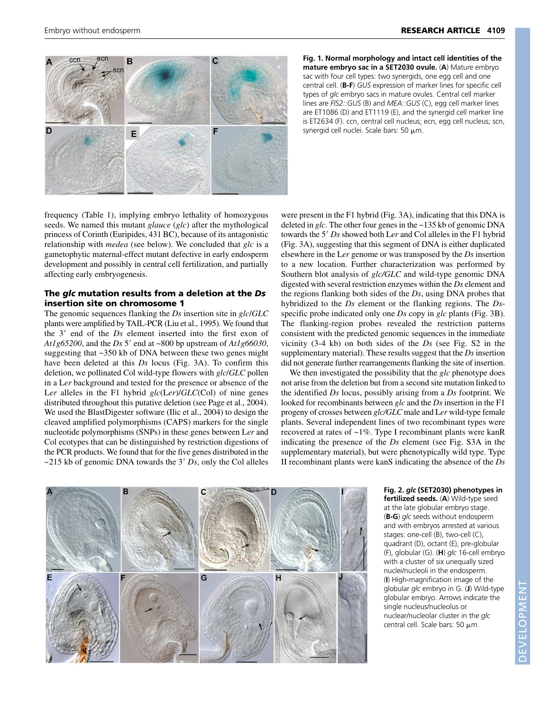



frequency (Table 1), implying embryo lethality of homozygous seeds. We named this mutant *glauce* (*glc*) after the mythological princess of Corinth (Euripides, 431 BC), because of its antagonistic relationship with *medea* (see below). We concluded that *glc* is a gametophytic maternal-effect mutant defective in early endosperm development and possibly in central cell fertilization, and partially affecting early embryogenesis.

# The *glc* mutation results from a deletion at the *Ds* insertion site on chromosome 1

The genomic sequences flanking the *Ds* insertion site in *glc*/*GLC* plants were amplified by TAIL-PCR (Liu et al., 1995). We found that the 3' end of the *Ds* element inserted into the first exon of  $At1g65200$ , and the *Ds* 5' end at ~800 bp upstream of  $At1g66030$ , suggesting that ~350 kb of DNA between these two genes might have been deleted at this *Ds* locus (Fig. 3A). To confirm this deletion, we pollinated Col wild-type flowers with *glc*/*GLC* pollen in a L*er* background and tested for the presence or absence of the L*er* alleles in the F1 hybrid *glc*(L*er*)/*GLC*(Col) of nine genes distributed throughout this putative deletion (see Page et al., 2004). We used the BlastDigester software (Ilic et al., 2004) to design the cleaved amplified polymorphisms (CAPS) markers for the single nucleotide polymorphisms (SNPs) in these genes between L*er* and Col ecotypes that can be distinguished by restriction digestions of the PCR products. We found that for the five genes distributed in the  $\sim$ 215 kb of genomic DNA towards the 3' Ds, only the Col alleles were present in the F1 hybrid (Fig. 3A), indicating that this DNA is deleted in *glc*. The other four genes in the ~135 kb of genomic DNA towards the 5' Ds showed both Ler and Col alleles in the F1 hybrid (Fig. 3A), suggesting that this segment of DNA is either duplicated elsewhere in the L*er* genome or was transposed by the *Ds* insertion to a new location. Further characterization was performed by Southern blot analysis of *glc/GLC* and wild-type genomic DNA digested with several restriction enzymes within the *Ds* element and the regions flanking both sides of the *Ds*, using DNA probes that hybridized to the *Ds* element or the flanking regions. The *Ds*specific probe indicated only one *Ds* copy in *glc* plants (Fig. 3B). The flanking-region probes revealed the restriction patterns consistent with the predicted genomic sequences in the immediate vicinity (3-4 kb) on both sides of the *Ds* (see Fig. S2 in the supplementary material). These results suggest that the *Ds*insertion did not generate further rearrangements flanking the site of insertion.

We then investigated the possibility that the *glc* phenotype does not arise from the deletion but from a second site mutation linked to the identified *Ds* locus, possibly arising from a *Ds* footprint. We looked for recombinants between *glc* and the *Ds* insertion in the F1 progeny of crosses between *glc/GLC* male and L*er* wild-type female plants. Several independent lines of two recombinant types were recovered at rates of ~1%. Type I recombinant plants were kanR indicating the presence of the *Ds* element (see Fig. S3A in the supplementary material), but were phenotypically wild type. Type II recombinant plants were kanS indicating the absence of the *Ds*



**fertilized seeds.** (**A**) Wild-type seed at the late globular embryo stage. (**B-G**) *glc* seeds without endosperm and with embryos arrested at various

**Fig. 2.** *glc* **(SET2030) phenotypes in**

stages: one-cell (B), two-cell (C), quadrant (D), octant (E), pre-globular (F), globular (G). (**H**) *glc* 16-cell embryo with a cluster of six unequally sized nuclei/nucleoli in the endosperm. (**I**) High-magnification image of the globular *glc* embryo in G. (**J**) Wild-type globular embryo. Arrows indicate the single nucleus/nucleolus or nuclear/nucleolar cluster in the *glc* central cell. Scale bars:  $50 \mu m$ .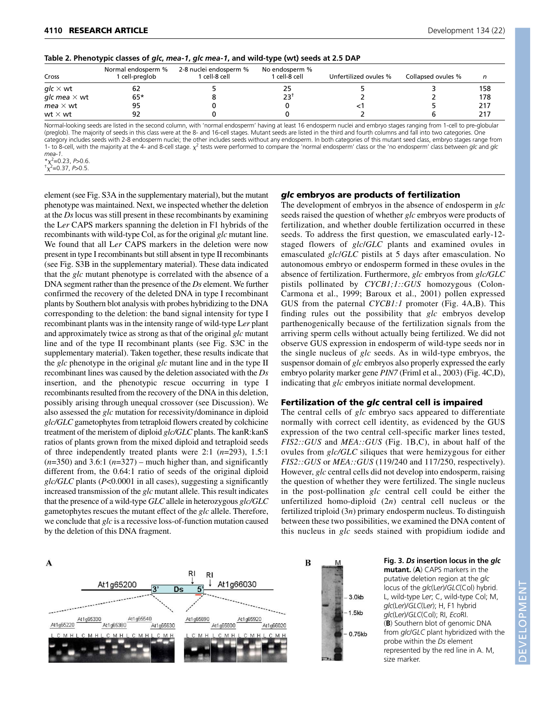|  |  |  |  |  |  | Table 2. Phenotypic classes of glc, mea-1, glc mea-1, and wild-type (wt) seeds at 2.5 DAP |
|--|--|--|--|--|--|-------------------------------------------------------------------------------------------|
|--|--|--|--|--|--|-------------------------------------------------------------------------------------------|

| Cross               | Normal endosperm %<br>1 cell-preglob | 2-8 nuclei endosperm %<br>1 cell-8 cell | No endosperm %<br>1 cell-8 cell | Unfertilized ovules % | Collapsed ovules %                        |     |
|---------------------|--------------------------------------|-----------------------------------------|---------------------------------|-----------------------|-------------------------------------------|-----|
| $glc \times wt$     | 62                                   |                                         |                                 |                       |                                           | 158 |
| glc mea $\times$ wt | 65*                                  |                                         | 23'                             |                       |                                           | 178 |
| $mea \times wt$     | 95                                   |                                         |                                 |                       |                                           | 217 |
| wt $\times$ wt      | 92                                   |                                         |                                 |                       |                                           | 217 |
|                     |                                      |                                         |                                 |                       | $\sim$ $\sim$ $\sim$ $\sim$ $\sim$ $\sim$ |     |

Normal-looking seeds are listed in the second column, with 'normal endosperm' having at least 16 endosperm nuclei and embryo stages ranging from 1-cell to pre-globular (preglob). The majority of seeds in this class were at the 8- and 16-cell stages. Mutant seeds are listed in the third and fourth columns and fall into two categories. One category includes seeds with 2-8 endosperm nuclei; the other includes seeds without any endosperm. In both categories of this mutant seed class, embryo stages range from 1- to 8-cell, with the majority at the 4- and 8-cell stage.  $\chi^2$  tests were performed to compare the 'normal endosperm' class or the 'no endosperm' class between *glc* and *glc mea-1.*  $x^2$ =0.23, *P*>0.6.

 $\sqrt[+1]{2}$ =0.37, *P*>0.5.

element (see Fig. S3A in the supplementary material), but the mutant phenotype was maintained. Next, we inspected whether the deletion at the *Ds*locus was still present in these recombinants by examining the L*er* CAPS markers spanning the deletion in F1 hybrids of the recombinants with wild-type Col, as for the original *glc* mutant line. We found that all L*er* CAPS markers in the deletion were now present in type I recombinants but still absent in type II recombinants (see Fig. S3B in the supplementary material). These data indicated that the *glc* mutant phenotype is correlated with the absence of a DNA segment rather than the presence of the *Ds* element. We further confirmed the recovery of the deleted DNA in type I recombinant plants by Southern blot analysis with probes hybridizing to the DNA corresponding to the deletion: the band signal intensity for type I recombinant plants was in the intensity range of wild-type L*er* plant and approximately twice as strong as that of the original *glc* mutant line and of the type II recombinant plants (see Fig. S3C in the supplementary material). Taken together, these results indicate that the *glc* phenotype in the original *glc* mutant line and in the type II recombinant lines was caused by the deletion associated with the *Ds* insertion, and the phenotypic rescue occurring in type I recombinants resulted from the recovery of the DNA in this deletion, possibly arising through unequal crossover (see Discussion). We also assessed the *glc* mutation for recessivity/dominance in diploid *glc/GLC* gametophytes from tetraploid flowers created by colchicine treatment of the meristem of diploid *glc/GLC* plants. The kanR:kanS ratios of plants grown from the mixed diploid and tetraploid seeds of three independently treated plants were 2:1 (*n*=293), 1.5:1 (*n*=350) and 3.6:1 (*n*=327) – much higher than, and significantly different from, the 0.64:1 ratio of seeds of the original diploid *glc/GLC* plants (*P*<0.0001 in all cases), suggesting a significantly increased transmission of the *glc* mutant allele. This result indicates that the presence of a wild-type *GLC* allele in heterozygous *glc/GLC* gametophytes rescues the mutant effect of the *glc* allele. Therefore, we conclude that *glc* is a recessive loss-of-function mutation caused by the deletion of this DNA fragment.

# *glc* embryos are products of fertilization

The development of embryos in the absence of endosperm in *glc* seeds raised the question of whether *glc* embryos were products of fertilization, and whether double fertilization occurred in these seeds. To address the first question, we emasculated early-12 staged flowers of *glc*/*GLC* plants and examined ovules in emasculated *glc*/*GLC* pistils at 5 days after emasculation. No autonomous embryo or endosperm formed in these ovules in the absence of fertilization. Furthermore, *glc* embryos from *glc/GLC* pistils pollinated by *CYCB1;1::GUS* homozygous (Colon-Carmona et al., 1999; Baroux et al., 2001) pollen expressed GUS from the paternal *CYCB1:1* promoter (Fig. 4A,B). This finding rules out the possibility that *glc* embryos develop parthenogenically because of the fertilization signals from the arriving sperm cells without actually being fertilized. We did not observe GUS expression in endosperm of wild-type seeds nor in the single nucleus of *glc* seeds. As in wild-type embryos, the suspensor domain of *glc* embryos also properly expressed the early embryo polarity marker gene *PIN7* (Friml et al., 2003) (Fig. 4C,D), indicating that *glc* embryos initiate normal development.

#### Fertilization of the *glc* central cell is impaired

The central cells of *glc* embryo sacs appeared to differentiate normally with correct cell identity, as evidenced by the GUS expression of the two central cell-specific marker lines tested, *FIS2::GUS* and *MEA::GUS* (Fig. 1B,C), in about half of the ovules from *glc/GLC* siliques that were hemizygous for either *FIS2::GUS* or *MEA::GUS* (119/240 and 117/250, respectively). However, *glc* central cells did not develop into endosperm, raising the question of whether they were fertilized. The single nucleus in the post-pollination *glc* central cell could be either the unfertilized homo-diploid (2*n*) central cell nucleus or the fertilized triploid (3*n*) primary endosperm nucleus. To distinguish between these two possibilities, we examined the DNA content of this nucleus in *glc* seeds stained with propidium iodide and



**Fig. 3.** *Ds* **insertion locus in the** *glc* **mutant.** (**A**) CAPS markers in the putative deletion region at the *glc* locus of the *glc*(L*er*)/*GLC*(Col) hybrid. L, wild-type L*er*; C, wild-type Col; M, *glc*(L*er*)/*GLC*(L*er*); H, F1 hybrid *glc*(L*er*)/*GLC*(Col); RI, *Eco*RI. (**B**) Southern blot of genomic DNA from *glc*/*GLC* plant hybridized with the probe within the *Ds* element represented by the red line in A. M, size marker.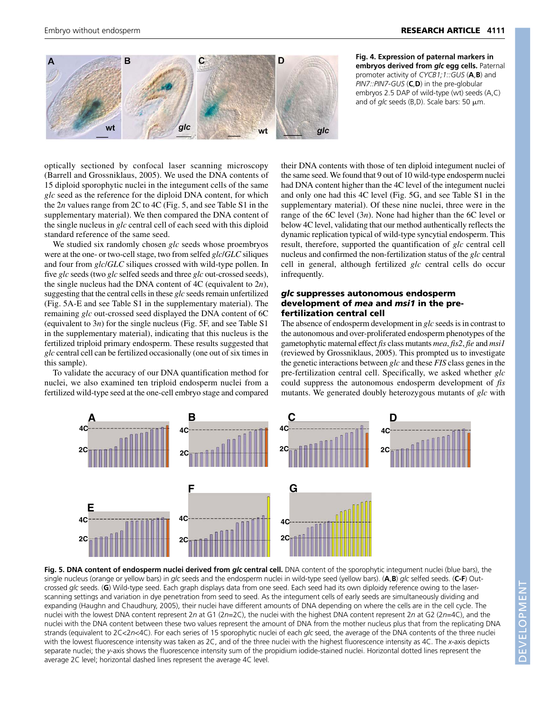



**Fig. 4. Expression of paternal markers in embryos derived from** *glc* **egg cells.** Paternal promoter activity of *CYCB1;1::GUS* (**A**,**B**) and *PIN7::PIN7-GUS* (**C**,**D**) in the pre-globular embryos 2.5 DAP of wild-type (wt) seeds (A,C) and of *glc* seeds (B,D). Scale bars: 50  $\mu$ m.

optically sectioned by confocal laser scanning microscopy (Barrell and Grossniklaus, 2005). We used the DNA contents of 15 diploid sporophytic nuclei in the integument cells of the same *glc* seed as the reference for the diploid DNA content, for which the 2*n* values range from 2C to 4C (Fig. 5, and see Table S1 in the supplementary material). We then compared the DNA content of the single nucleus in *glc* central cell of each seed with this diploid standard reference of the same seed.

We studied six randomly chosen *glc* seeds whose proembryos were at the one- or two-cell stage, two from selfed *glc*/*GLC* siliques and four from *glc*/*GLC* siliques crossed with wild-type pollen. In five *glc* seeds (two *glc* selfed seeds and three *glc* out-crossed seeds), the single nucleus had the DNA content of 4C (equivalent to 2*n*), suggesting that the central cells in these *glc* seeds remain unfertilized (Fig. 5A-E and see Table S1 in the supplementary material). The remaining *glc* out-crossed seed displayed the DNA content of 6C (equivalent to 3*n*) for the single nucleus (Fig. 5F, and see Table S1 in the supplementary material), indicating that this nucleus is the fertilized triploid primary endosperm. These results suggested that *glc* central cell can be fertilized occasionally (one out of six times in this sample).

To validate the accuracy of our DNA quantification method for nuclei, we also examined ten triploid endosperm nuclei from a fertilized wild-type seed at the one-cell embryo stage and compared their DNA contents with those of ten diploid integument nuclei of the same seed. We found that 9 out of 10 wild-type endosperm nuclei had DNA content higher than the 4C level of the integument nuclei and only one had this 4C level (Fig. 5G, and see Table S1 in the supplementary material). Of these nine nuclei, three were in the range of the 6C level (3*n*). None had higher than the 6C level or below 4C level, validating that our method authentically reflects the dynamic replication typical of wild-type syncytial endosperm. This result, therefore, supported the quantification of *glc* central cell nucleus and confirmed the non-fertilization status of the *glc* central cell in general, although fertilized *glc* central cells do occur infrequently.

# *glc* suppresses autonomous endosperm development of *mea* and *msi1* in the prefertilization central cell

The absence of endosperm development in *glc* seeds is in contrast to the autonomous and over-proliferated endosperm phenotypes of the gametophytic maternal effect *fis* class mutants *mea*, *fis2*, *fie* and *msi1* (reviewed by Grossniklaus, 2005). This prompted us to investigate the genetic interactions between *glc* and these *FIS* class genes in the pre-fertilization central cell. Specifically, we asked whether *glc* could suppress the autonomous endosperm development of *fis* mutants. We generated doubly heterozygous mutants of *glc* with



Fig. 5. DNA content of endosperm nuclei derived from *glc* central cell. DNA content of the sporophytic integument nuclei (blue bars), the single nucleus (orange or yellow bars) in *glc* seeds and the endosperm nuclei in wild-type seed (yellow bars). (**A**,**B**) *glc* selfed seeds. (**C-F**) Outcrossed *glc* seeds. (**G**) Wild-type seed. Each graph displays data from one seed. Each seed had its own diploidy reference owing to the laserscanning settings and variation in dye penetration from seed to seed. As the integument cells of early seeds are simultaneously dividing and expanding (Haughn and Chaudhury, 2005), their nuclei have different amounts of DNA depending on where the cells are in the cell cycle. The nuclei with the lowest DNA content represent 2*n* at G1 (2*n*=2C), the nuclei with the highest DNA content represent 2*n* at G2 (2*n*=4C), and the nuclei with the DNA content between these two values represent the amount of DNA from the mother nucleus plus that from the replicating DNA strands (equivalent to 2C<2*n*<4C). For each series of 15 sporophytic nuclei of each *glc* seed, the average of the DNA contents of the three nuclei with the lowest fluorescence intensity was taken as 2C, and of the three nuclei with the highest fluorescence intensity as 4C. The *x*-axis depicts separate nuclei; the *y*-axis shows the fluorescence intensity sum of the propidium iodide-stained nuclei. Horizontal dotted lines represent the average 2C level; horizontal dashed lines represent the average 4C level.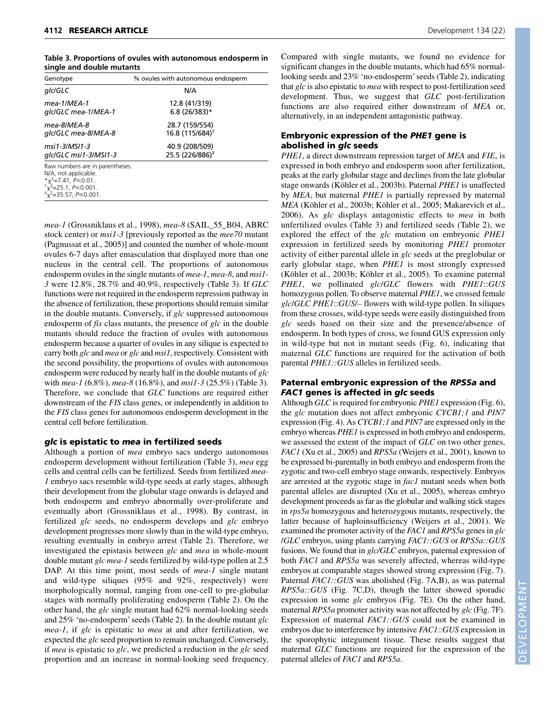| Table 3. Proportions of ovules with autonomous endosperm in |  |
|-------------------------------------------------------------|--|
| single and double mutants                                   |  |

| Genotype                                                                                                                                                                      | % ovules with autonomous endosperm |  |  |
|-------------------------------------------------------------------------------------------------------------------------------------------------------------------------------|------------------------------------|--|--|
| glc/GLC                                                                                                                                                                       | N/A                                |  |  |
| mea-1/MEA-1                                                                                                                                                                   | 12.8 (41/319)                      |  |  |
| glc/GLC mea-1/MEA-1                                                                                                                                                           | $6.8(26/383)*$                     |  |  |
| mea-8/MEA-8                                                                                                                                                                   | 28.7 (159/554)                     |  |  |
| glc/GLC mea-8/MEA-8                                                                                                                                                           | 16.8 (115/684) <sup>†</sup>        |  |  |
| msi1-3/MSI1-3                                                                                                                                                                 | 40.9 (208/509)                     |  |  |
| qlc/GLC msi1-3/MSI1-3                                                                                                                                                         | 25.5 (226/886) <sup>‡</sup>        |  |  |
| Raw numbers are in parentheses.<br>N/A, not applicable.<br>$x^2$ =7.41, P $\leq 0.01$ .<br>$\sqrt[+1]{2}$ =25.1, P $\leq 0.001$ .<br>$\sqrt[4]{x^2}$ =35.57, P $\leq 0.001$ . |                                    |  |  |

*mea-1* (Grossniklaus et al., 1998), *mea-8* (SAIL\_55\_B04, ABRC stock center) or *msi1-3* [previously reported as the *mee70* mutant (Pagnussat et al., 2005)] and counted the number of whole-mount ovules 6-7 days after emasculation that displayed more than one nucleus in the central cell. The proportions of autonomous endosperm ovules in the single mutants of *mea-1*, *mea-8*, and *msi1- 3* were 12.8%, 28.7% and 40.9%, respectively (Table 3). If *GLC* functions were not required in the endosperm repression pathway in the absence of fertilization, these proportions should remain similar in the double mutants. Conversely, if *glc* suppressed autonomous endosperm of *fis* class mutants, the presence of *glc* in the double mutants should reduce the fraction of ovules with autonomous endosperm because a quarter of ovules in any silique is expected to carry both *glc* and *mea* or *glc* and *msi1*, respectively. Consistent with the second possibility, the proportions of ovules with autonomous endosperm were reduced by nearly half in the double mutants of *glc* with *mea-1* (6.8%), *mea-8* (16.8%), and *msi1-3* (25.5%) (Table 3). Therefore, we conclude that *GLC* functions are required either downstream of the *FIS* class genes, or independently in addition to the *FIS* class genes for autonomous endosperm development in the central cell before fertilization.

#### *glc* is epistatic to *mea* in fertilized seeds

Although a portion of *mea* embryo sacs undergo autonomous endosperm development without fertilization (Table 3), *mea* egg cells and central cells can be fertilized. Seeds from fertilized *mea-1* embryo sacs resemble wild-type seeds at early stages, although their development from the globular stage onwards is delayed and both endosperm and embryo abnormally over-proliferate and eventually abort (Grossniklaus et al., 1998). By contrast, in fertilized *glc* seeds, no endosperm develops and *glc* embryo development progresses more slowly than in the wild-type embryo, resulting eventually in embryo arrest (Table 2). Therefore, we investigated the epistasis between *glc* and *mea* in whole-mount double mutant *glc mea-1* seeds fertilized by wild-type pollen at 2.5 DAP. At this time point, most seeds of *mea-1* single mutant and wild-type siliques (95% and 92%, respectively) were morphologically normal, ranging from one-cell to pre-globular stages with normally proliferating endosperm (Table 2). On the other hand, the *glc* single mutant had 62% normal-looking seeds and 25% 'no-endosperm' seeds (Table 2). In the double mutant *glc mea-1*, if *glc* is epistatic to *mea* at and after fertilization, we expected the *glc* seed proportion to remain unchanged. Conversely, if *mea* is epistatic to *glc*, we predicted a reduction in the *glc* seed proportion and an increase in normal-looking seed frequency.

Compared with single mutants, we found no evidence for significant changes in the double mutants, which had 65% normallooking seeds and 23% 'no-endosperm' seeds (Table 2), indicating that *glc* is also epistatic to *mea* with respect to post-fertilization seed development. Thus, we suggest that *GLC* post-fertilization functions are also required either downstream of *MEA* or, alternatively, in an independent antagonistic pathway.

# Embryonic expression of the *PHE1* gene is abolished in *glc* seeds

*PHE1*, a direct downstream repression target of *MEA* and *FIE*, is expressed in both embryo and endosperm soon after fertilization, peaks at the early globular stage and declines from the late globular stage onwards (Köhler et al., 2003b). Paternal *PHE1* is unaffected by *MEA*, but maternal *PHE1* is partially repressed by maternal *MEA* (Köhler et al., 2003b; Köhler et al., 2005; Makarevich et al., 2006). As *glc* displays antagonistic effects to *mea* in both unfertilized ovules (Table 3) and fertilized seeds (Table 2), we explored the effect of the *glc* mutation on embryonic *PHE1* expression in fertilized seeds by monitoring *PHE1* promoter activity of either parental allele in *glc* seeds at the preglobular or early globular stage, when *PHE1* is most strongly expressed (Köhler et al., 2003b; Köhler et al., 2005). To examine paternal *PHE1*, we pollinated *glc*/*GLC* flowers with *PHE1*::*GUS* homozygous pollen. To observe maternal *PHE1*, we crossed female *glc*/*GLC PHE1*::*GUS*/*–* flowers with wild-type pollen. In siliques from these crosses, wild-type seeds were easily distinguished from *glc* seeds based on their size and the presence/absence of endosperm. In both types of cross, we found GUS expression only in wild-type but not in mutant seeds (Fig. 6), indicating that maternal *GLC* functions are required for the activation of both parental *PHE1::GUS* alleles in fertilized seeds.

# Paternal embryonic expression of the *RPS5a* and *FAC1* genes is affected in *glc* seeds

Although *GLC* is required for embryonic *PHE1* expression (Fig. 6), the *glc* mutation does not affect embryonic *CYCB1;1* and *PIN7* expression (Fig. 4). As *CYCB1;1* and *PIN7* are expressed only in the embryo whereas *PHE1* is expressed in both embryo and endosperm, we assessed the extent of the impact of *GLC* on two other genes, *FAC1* (Xu et al., 2005) and *RPS5a* (Weijers et al., 2001), known to be expressed bi-parentally in both embryo and endosperm from the zygotic and two-cell embryo stage onwards, respectively. Embryos are arrested at the zygotic stage in *fac1* mutant seeds when both parental alleles are disrupted (Xu et al., 2005), whereas embryo development proceeds as far as the globular and walking stick stages in *rps5a* homozygous and heterozygous mutants, respectively, the latter because of haploinsufficiency (Weijers et al., 2001). We examined the promoter activity of the *FAC1* and *RPS5a* genes in *glc* /*GLC* embryos, using plants carrying *FAC1::GUS* or *RPS5a::GUS* fusions. We found that in *glc/GLC* embryos, paternal expression of both *FAC1* and *RPS5a* was severely affected, whereas wild-type embryos at comparable stages showed strong expression (Fig. 7). Paternal *FAC1::GUS* was abolished (Fig. 7A,B), as was paternal *RPS5a::GUS* (Fig. 7C,D), though the latter showed sporadic expression in some *glc* embryos (Fig. 7E). On the other hand, maternal *RPS5a* promoter activity was not affected by *glc* (Fig. 7F). Expression of maternal *FAC1::GUS* could not be examined in embryos due to interference by intensive *FAC1*::*GUS* expression in the sporophytic integument tissue. These results suggest that maternal *GLC* functions are required for the expression of the paternal alleles of *FAC1* and *RPS5a*.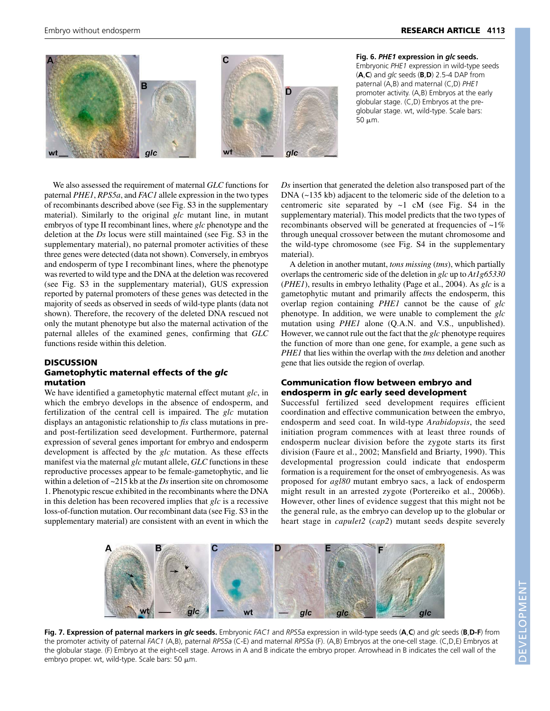

Embryo without endosperm RESEARCH ARTICLE **4113**

**Fig. 6.** *PHE1* **expression in** *glc* **seeds.** Embryonic *PHE1* expression in wild-type seeds (**A**,**C**) and *glc* seeds (**B**,**D**) 2.5-4 DAP from paternal (A,B) and maternal (C,D) *PHE1* promoter activity. (A,B) Embryos at the early globular stage. (C,D) Embryos at the preglobular stage. wt, wild-type. Scale bars:  $50 \mu m$ .

We also assessed the requirement of maternal *GLC* functions for paternal *PHE1*, *RPS5a*, and *FAC1* allele expression in the two types of recombinants described above (see Fig. S3 in the supplementary material). Similarly to the original *glc* mutant line, in mutant embryos of type II recombinant lines, where *glc* phenotype and the deletion at the *Ds* locus were still maintained (see Fig. S3 in the supplementary material), no paternal promoter activities of these three genes were detected (data not shown). Conversely, in embryos and endosperm of type I recombinant lines, where the phenotype was reverted to wild type and the DNA at the deletion was recovered (see Fig. S3 in the supplementary material), GUS expression reported by paternal promoters of these genes was detected in the majority of seeds as observed in seeds of wild-type plants (data not shown). Therefore, the recovery of the deleted DNA rescued not only the mutant phenotype but also the maternal activation of the paternal alleles of the examined genes, confirming that *GLC* functions reside within this deletion.

### **DISCUSSION** Gametophytic maternal effects of the *glc* mutation

We have identified a gametophytic maternal effect mutant *glc*, in which the embryo develops in the absence of endosperm, and fertilization of the central cell is impaired. The *glc* mutation displays an antagonistic relationship to *fis* class mutations in preand post-fertilization seed development. Furthermore, paternal expression of several genes important for embryo and endosperm development is affected by the *glc* mutation. As these effects manifest via the maternal *glc* mutant allele, *GLC* functions in these reproductive processes appear to be female-gametophytic, and lie within a deletion of ~215 kb at the *Ds* insertion site on chromosome 1. Phenotypic rescue exhibited in the recombinants where the DNA in this deletion has been recovered implies that *glc* is a recessive loss-of-function mutation. Our recombinant data (see Fig. S3 in the supplementary material) are consistent with an event in which the

*Ds* insertion that generated the deletion also transposed part of the DNA (~135 kb) adjacent to the telomeric side of the deletion to a centromeric site separated by  $\sim$ 1 cM (see Fig. S4 in the supplementary material). This model predicts that the two types of recombinants observed will be generated at frequencies of  $\sim 1\%$ through unequal crossover between the mutant chromosome and the wild-type chromosome (see Fig. S4 in the supplementary material).

A deletion in another mutant, *tons missing* (*tms*), which partially overlaps the centromeric side of the deletion in *glc* up to *At1g65330* (*PHE1*), results in embryo lethality (Page et al., 2004). As *glc* is a gametophytic mutant and primarily affects the endosperm, this overlap region containing *PHE1* cannot be the cause of *glc* phenotype. In addition, we were unable to complement the *glc* mutation using *PHE1* alone (Q.A.N. and V.S., unpublished). However, we cannot rule out the fact that the *glc* phenotype requires the function of more than one gene, for example, a gene such as *PHE1* that lies within the overlap with the *tms* deletion and another gene that lies outside the region of overlap.

# Communication flow between embryo and endosperm in *glc* early seed development

Successful fertilized seed development requires efficient coordination and effective communication between the embryo, endosperm and seed coat. In wild-type *Arabidopsis*, the seed initiation program commences with at least three rounds of endosperm nuclear division before the zygote starts its first division (Faure et al., 2002; Mansfield and Briarty, 1990). This developmental progression could indicate that endosperm formation is a requirement for the onset of embryogenesis. As was proposed for *agl80* mutant embryo sacs, a lack of endosperm might result in an arrested zygote (Portereiko et al., 2006b). However, other lines of evidence suggest that this might not be the general rule, as the embryo can develop up to the globular or heart stage in *capulet2* (*cap2*) mutant seeds despite severely



**Fig. 7. Expression of paternal markers in** *glc* **seeds.** Embryonic *FAC1* and *RPS5a* expression in wild-type seeds (**A**,**C**) and *glc* seeds (**B**,**D-F**) from the promoter activity of paternal *FAC1* (A,B), paternal *RPS5a* (C-E) and maternal *RPS5a* (F). (A,B) Embryos at the one-cell stage. (C,D,E) Embryos at the globular stage. (F) Embryo at the eight-cell stage. Arrows in A and B indicate the embryo proper. Arrowhead in B indicates the cell wall of the embryo proper. wt, wild-type. Scale bars: 50  $\mu$ m.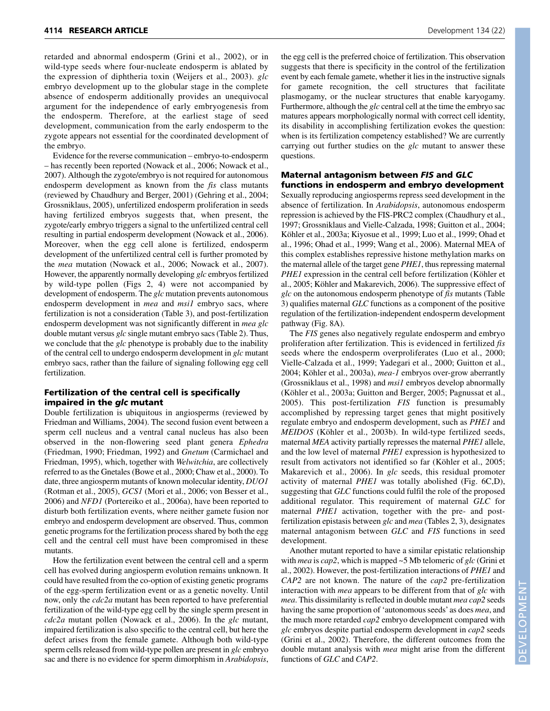retarded and abnormal endosperm (Grini et al., 2002), or in wild-type seeds where four-nucleate endosperm is ablated by the expression of diphtheria toxin (Weijers et al., 2003). *glc* embryo development up to the globular stage in the complete absence of endosperm additionally provides an unequivocal argument for the independence of early embryogenesis from the endosperm. Therefore, at the earliest stage of seed development, communication from the early endosperm to the zygote appears not essential for the coordinated development of the embryo.

Evidence for the reverse communication – embryo-to-endosperm – has recently been reported (Nowack et al., 2006; Nowack et al., 2007). Although the zygote/embryo is not required for autonomous endosperm development as known from the *fis* class mutants (reviewed by Chaudhury and Berger, 2001) (Gehring et al., 2004; Grossniklaus, 2005), unfertilized endosperm proliferation in seeds having fertilized embryos suggests that, when present, the zygote/early embryo triggers a signal to the unfertilized central cell resulting in partial endosperm development (Nowack et al., 2006). Moreover, when the egg cell alone is fertilized, endosperm development of the unfertilized central cell is further promoted by the *mea* mutation (Nowack et al., 2006; Nowack et al., 2007). However, the apparently normally developing *glc* embryos fertilized by wild-type pollen (Figs 2, 4) were not accompanied by development of endosperm. The *glc* mutation prevents autonomous endosperm development in *mea* and *msi1* embryo sacs, where fertilization is not a consideration (Table 3), and post-fertilization endosperm development was not significantly different in *mea glc* double mutant versus *glc* single mutant embryo sacs (Table 2). Thus, we conclude that the *glc* phenotype is probably due to the inability of the central cell to undergo endosperm development in *glc* mutant embryo sacs, rather than the failure of signaling following egg cell fertilization.

# Fertilization of the central cell is specifically impaired in the *glc* mutant

Double fertilization is ubiquitous in angiosperms (reviewed by Friedman and Williams, 2004). The second fusion event between a sperm cell nucleus and a ventral canal nucleus has also been observed in the non-flowering seed plant genera *Ephedra* (Friedman, 1990; Friedman, 1992) and *Gnetum* (Carmichael and Friedman, 1995), which, together with *Welwitchia*, are collectively referred to as the Gnetales (Bowe et al., 2000; Chaw et al., 2000). To date, three angiosperm mutants of known molecular identity, *DUO1* (Rotman et al., 2005), *GCS1* (Mori et al., 2006; von Besser et al., 2006) and *NFD1* (Portereiko et al., 2006a), have been reported to disturb both fertilization events, where neither gamete fusion nor embryo and endosperm development are observed. Thus, common genetic programs for the fertilization process shared by both the egg cell and the central cell must have been compromised in these mutants.

How the fertilization event between the central cell and a sperm cell has evolved during angiosperm evolution remains unknown. It could have resulted from the co-option of existing genetic programs of the egg-sperm fertilization event or as a genetic novelty. Until now, only the *cdc2a* mutant has been reported to have preferential fertilization of the wild-type egg cell by the single sperm present in *cdc2a* mutant pollen (Nowack et al., 2006). In the *glc* mutant, impaired fertilization is also specific to the central cell, but here the defect arises from the female gamete. Although both wild-type sperm cells released from wild-type pollen are present in *glc* embryo sac and there is no evidence for sperm dimorphism in *Arabidopsis*,

the egg cell is the preferred choice of fertilization. This observation suggests that there is specificity in the control of the fertilization event by each female gamete, whether it lies in the instructive signals for gamete recognition, the cell structures that facilitate plasmogamy, or the nuclear structures that enable karyogamy. Furthermore, although the *glc* central cell at the time the embryo sac matures appears morphologically normal with correct cell identity, its disability in accomplishing fertilization evokes the question: when is its fertilization competency established? We are currently carrying out further studies on the *glc* mutant to answer these questions.

# Maternal antagonism between *FIS* and *GLC* functions in endosperm and embryo development

Sexually reproducing angiosperms repress seed development in the absence of fertilization. In *Arabidopsis*, autonomous endosperm repression is achieved by the FIS-PRC2 complex (Chaudhury et al., 1997; Grossniklaus and Vielle-Calzada, 1998; Guitton et al., 2004; Köhler et al., 2003a; Kiyosue et al., 1999; Luo et al., 1999; Ohad et al., 1996; Ohad et al., 1999; Wang et al., 2006). Maternal MEA of this complex establishes repressive histone methylation marks on the maternal allele of the target gene *PHE1*, thus repressing maternal *PHE1* expression in the central cell before fertilization (Köhler et al., 2005; Köhler and Makarevich, 2006). The suppressive effect of *glc* on the autonomous endosperm phenotype of *fis* mutants (Table 3) qualifies maternal *GLC* functions as a component of the positive regulation of the fertilization-independent endosperm development pathway (Fig. 8A).

The *FIS* genes also negatively regulate endosperm and embryo proliferation after fertilization. This is evidenced in fertilized *fis* seeds where the endosperm overproliferates (Luo et al., 2000; Vielle-Calzada et al., 1999; Yadegari et al., 2000; Guitton et al., 2004; Köhler et al., 2003a), *mea-1* embryos over-grow aberrantly (Grossniklaus et al., 1998) and *msi1* embryos develop abnormally (Köhler et al., 2003a; Guitton and Berger, 2005; Pagnussat et al., 2005). This post-fertilization *FIS* function is presumably accomplished by repressing target genes that might positively regulate embryo and endosperm development, such as *PHE1* and *MEIDOS* (Köhler et al., 2003b). In wild-type fertilized seeds, maternal *MEA* activity partially represses the maternal *PHE1* allele, and the low level of maternal *PHE1* expression is hypothesized to result from activators not identified so far (Köhler et al., 2005; Makarevich et al., 2006). In *glc* seeds, this residual promoter activity of maternal *PHE1* was totally abolished (Fig. 6C,D), suggesting that *GLC* functions could fulfil the role of the proposed additional regulator. This requirement of maternal *GLC* for maternal *PHE1* activation, together with the pre- and postfertilization epistasis between *glc* and *mea* (Tables 2, 3), designates maternal antagonism between *GLC* and *FIS* functions in seed development.

Another mutant reported to have a similar epistatic relationship with *mea* is *cap2*, which is mapped ~5 Mb telomeric of *glc* (Grini et al., 2002). However, the post-fertilization interactions of *PHE1* and *CAP2* are not known. The nature of the *cap2* pre-fertilization interaction with *mea* appears to be different from that of *glc* with *mea*. This dissimilarity is reflected in double mutant *mea cap2* seeds having the same proportion of 'autonomous seeds' as does *mea*, and the much more retarded *cap2* embryo development compared with *glc* embryos despite partial endosperm development in *cap2* seeds (Grini et al., 2002). Therefore, the different outcomes from the double mutant analysis with *mea* might arise from the different functions of *GLC* and *CAP2*.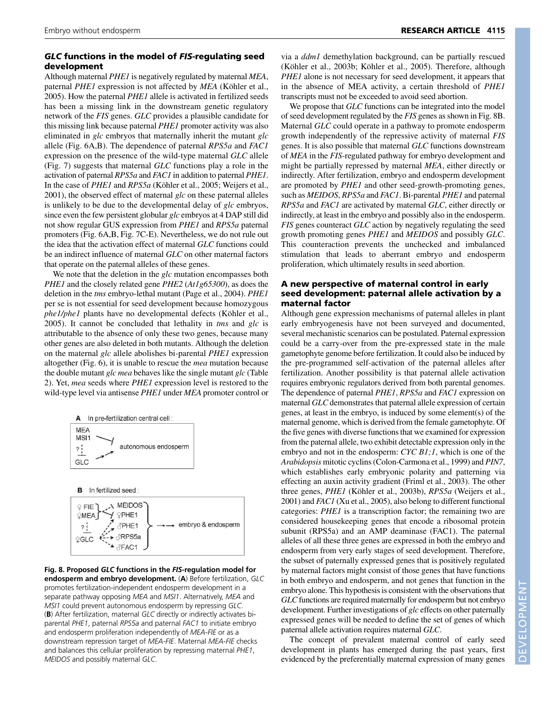# *GLC* functions in the model of *FIS*-regulating seed development

Although maternal *PHE1* is negatively regulated by maternal *MEA*, paternal *PHE1* expression is not affected by *MEA* (Köhler et al., 2005). How the paternal *PHE1* allele is activated in fertilized seeds has been a missing link in the downstream genetic regulatory network of the *FIS* genes. *GLC* provides a plausible candidate for this missing link because paternal *PHE1* promoter activity was also eliminated in *glc* embryos that maternally inherit the mutant *glc* allele (Fig. 6A,B). The dependence of paternal *RPS5a* and *FAC1* expression on the presence of the wild-type maternal *GLC* allele (Fig. 7) suggests that maternal *GLC* functions play a role in the activation of paternal *RPS5a* and *FAC1* in addition to paternal *PHE1*. In the case of *PHE1* and *RPS5a* (Köhler et al., 2005; Weijers et al., 2001), the observed effect of maternal *glc* on these paternal alleles is unlikely to be due to the developmental delay of *glc* embryos, since even the few persistent globular *glc* embryos at 4 DAP still did not show regular GUS expression from *PHE1* and *RPS5a* paternal promoters (Fig. 6A,B, Fig. 7C-E). Nevertheless, we do not rule out the idea that the activation effect of maternal *GLC* functions could be an indirect influence of maternal *GLC* on other maternal factors that operate on the paternal alleles of these genes.

We note that the deletion in the *glc* mutation encompasses both *PHE1* and the closely related gene *PHE2* (*At1g65300*), as does the deletion in the *tms* embryo-lethal mutant (Page et al., 2004). *PHE1* per se is not essential for seed development because homozygous *phe1/phe1* plants have no developmental defects (Köhler et al., 2005). It cannot be concluded that lethality in *tms* and *glc* is attributable to the absence of only these two genes, because many other genes are also deleted in both mutants. Although the deletion on the maternal *glc* allele abolishes bi-parental *PHE1* expression altogether (Fig. 6), it is unable to rescue the *mea* mutation because the double mutant *glc mea* behaves like the single mutant *glc* (Table 2). Yet, *mea* seeds where *PHE1* expression level is restored to the wild-type level via antisense *PHE1* under *MEA* promoter control or



**Fig. 8. Proposed** *GLC* **functions in the** *FIS***-regulation model for endosperm and embryo development.** (**A**) Before fertilization, *GLC* promotes fertilization-independent endosperm development in a separate pathway opposing *MEA* and *MSI1*. Alternatively, *MEA* and *MSI1* could prevent autonomous endosperm by repressing *GLC*. (**B**) After fertilization, maternal *GLC* directly or indirectly activates biparental *PHE1*, paternal *RPS5a* and paternal *FAC1* to initiate embryo and endosperm proliferation independently of *MEA*-*FIE* or as a downstream repression target of *MEA*-*FIE*. Maternal *MEA*-*FIE* checks and balances this cellular proliferation by repressing maternal *PHE1*, From the section independent endosperm development in a<br>
promotes fertilization-independent endosperm development in a<br>
MS11 could prevent autonomous endosperm by repressing GLC.<br> **CB**) After fertilization, maternal GLC di

via a *ddm1* demethylation background, can be partially rescued (Köhler et al., 2003b; Köhler et al., 2005). Therefore, although *PHE1* alone is not necessary for seed development, it appears that in the absence of MEA activity, a certain threshold of *PHE1* transcripts must not be exceeded to avoid seed abortion.

We propose that *GLC* functions can be integrated into the model of seed development regulated by the *FIS* genes as shown in Fig. 8B. Maternal *GLC* could operate in a pathway to promote endosperm growth independently of the repressive activity of maternal *FIS* genes. It is also possible that maternal *GLC* functions downstream of *MEA* in the *FIS*-regulated pathway for embryo development and might be partially repressed by maternal *MEA*, either directly or indirectly. After fertilization, embryo and endosperm development are promoted by *PHE1* and other seed-growth-promoting genes, such as *MEIDOS*, *RPS5a* and *FAC1*. Bi-parental *PHE1* and paternal *RPS5a* and *FAC1* are activated by maternal *GLC*, either directly or indirectly, at least in the embryo and possibly also in the endosperm. *FIS* genes counteract *GLC* action by negatively regulating the seed growth promoting genes *PHE1* and *MEIDOS* and possibly *GLC*. This counteraction prevents the unchecked and imbalanced stimulation that leads to aberrant embryo and endosperm proliferation, which ultimately results in seed abortion.

# A new perspective of maternal control in early seed development: paternal allele activation by a maternal factor

Although gene expression mechanisms of paternal alleles in plant early embryogenesis have not been surveyed and documented, several mechanistic scenarios can be postulated. Paternal expression could be a carry-over from the pre-expressed state in the male gametophyte genome before fertilization. It could also be induced by the pre-programmed self-activation of the paternal alleles after fertilization. Another possibility is that paternal allele activation requires embryonic regulators derived from both parental genomes. The dependence of paternal *PHE1*, *RPS5a* and *FAC1* expression on maternal *GLC* demonstrates that paternal allele expression of certain genes, at least in the embryo, is induced by some element(s) of the maternal genome, which is derived from the female gametophyte. Of the five genes with diverse functions that we examined for expression from the paternal allele, two exhibit detectable expression only in the embryo and not in the endosperm: *CYC B1;1*, which is one of the *Arabidopsis* mitotic cyclins (Colon-Carmona et al., 1999) and *PIN7*, which establishes early embryonic polarity and patterning via effecting an auxin activity gradient (Friml et al., 2003). The other three genes, *PHE1* (Köhler et al., 2003b), *RPS5a* (Weijers et al., 2001) and *FAC1* (Xu et al., 2005), also belong to different functional categories: *PHE1* is a transcription factor; the remaining two are considered housekeeping genes that encode a ribosomal protein subunit (RPS5a) and an AMP deaminase (FAC1). The paternal alleles of all these three genes are expressed in both the embryo and endosperm from very early stages of seed development. Therefore, the subset of paternally expressed genes that is positively regulated by maternal factors might consist of those genes that have functions in both embryo and endosperm, and not genes that function in the embryo alone. This hypothesis is consistent with the observations that *GLC* functions are required maternally for endosperm but not embryo development. Further investigations of *glc* effects on other paternally expressed genes will be needed to define the set of genes of which paternal allele activation requires maternal *GLC*.

The concept of prevalent maternal control of early seed development in plants has emerged during the past years, first evidenced by the preferentially maternal expression of many genes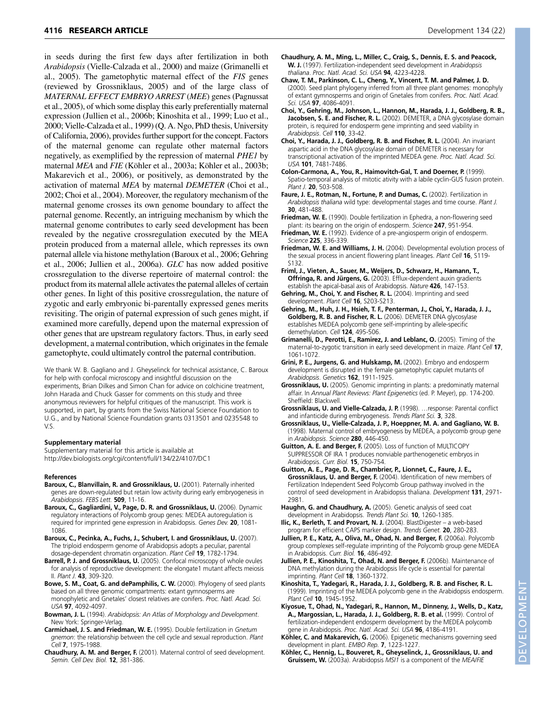in seeds during the first few days after fertilization in both *Arabidopsis* (Vielle-Calzada et al., 2000) and maize (Grimanelli et al., 2005). The gametophytic maternal effect of the *FIS* genes (reviewed by Grossniklaus, 2005) and of the large class of *MATERNAL EFFECT EMBRYO ARREST* (*MEE*) genes (Pagnussat et al., 2005), of which some display this early preferentially maternal expression (Jullien et al., 2006b; Kinoshita et al., 1999; Luo et al., 2000; Vielle-Calzada et al., 1999) (Q. A. Ngo, PhD thesis, University of California, 2006), provides further support for the concept. Factors of the maternal genome can regulate other maternal factors negatively, as exemplified by the repression of maternal *PHE1* by maternal *MEA* and *FIE* (Köhler et al., 2003a; Köhler et al., 2003b; Makarevich et al., 2006), or positively, as demonstrated by the activation of maternal *MEA* by maternal *DEMETER* (Choi et al., 2002; Choi et al., 2004). Moreover, the regulatory mechanism of the maternal genome crosses its own genome boundary to affect the paternal genome. Recently, an intriguing mechanism by which the maternal genome contributes to early seed development has been revealed by the negative crossregulation executed by the MEA protein produced from a maternal allele, which represses its own paternal allele via histone methylation (Baroux et al., 2006; Gehring et al., 2006; Jullien et al., 2006a). *GLC* has now added positive crossregulation to the diverse repertoire of maternal control: the product from its maternal allele activates the paternal alleles of certain other genes. In light of this positive crossregulation, the nature of zygotic and early embryonic bi-parentally expressed genes merits revisiting. The origin of paternal expression of such genes might, if examined more carefully, depend upon the maternal expression of other genes that are upstream regulatory factors. Thus, in early seed development, a maternal contribution, which originates in the female gametophyte, could ultimately control the paternal contribution.

We thank W. B. Gagliano and J. Gheyselinck for technical assistance, C. Baroux for help with confocal microscopy and insightful discussion on the experiments, Brian Dilkes and Simon Chan for advice on colchicine treatment, John Harada and Chuck Gasser for comments on this study and three anonymous reviewers for helpful critiques of the manuscript. This work is supported, in part, by grants from the Swiss National Science Foundation to U.G., and by National Science Foundation grants 0313501 and 0235548 to V.S.

#### **Supplementary material**

Supplementary material for this article is available at http://dev.biologists.org/cgi/content/full/134/22/4107/DC1

#### **References**

- **Baroux, C., Blanvillain, R. and Grossniklaus, U.** (2001). Paternally inherited genes are down-regulated but retain low activity during early embryogenesis in *Arabidopsis*. *FEBS Lett.* **509**, 11-16.
- **Baroux, C., Gagliardini, V., Page, D. R. and Grossniklaus, U.** (2006). Dynamic regulatory interactions of Polycomb group genes: MEDEA autoregulation is required for imprinted gene expression in Arabidopsis. *Genes Dev.* **20**, 1081- 1086.
- **Baroux, C., Pecinka, A., Fuchs, J., Schubert, I. and Grossniklaus, U.** (2007). The triploid endosperm genome of Arabidopsis adopts a peculiar, parental dosage-dependent chromatin organization. *Plant Cell* **19**, 1782-1794.
- **Barrell, P. J. and Grossniklaus, U.** (2005). Confocal microscopy of whole ovules for analysis of reproductive development: the elongate1 mutant affects meiosis II. *Plant J.* **43**, 309-320.
- **Bowe, S. M., Coat, G. and dePamphilis, C. W.** (2000). Phylogeny of seed plants based on all three genomic compartments: extant gymnosperms are monophyletic and Gnetales' closest relatives are conifers. *Proc. Natl. Acad. Sci. USA* **97**, 4092-4097.
- **Bowman, J. L.** (1994). *Arabidopsis: An Atlas of Morphology and Development*. New York: Springer-Verlag.
- **Carmichael, J. S. and Friedman, W. E.** (1995). Double fertilization in *Gnetum gnemon*: the relationship between the cell cycle and sexual reproduction. *Plant Cell* **7**, 1975-1988.
- **Chaudhury, A. M. and Berger, F.** (2001). Maternal control of seed development. *Semin. Cell Dev. Biol.* **12**, 381-386.
- **Chaudhury, A. M., Ming, L., Miller, C., Craig, S., Dennis, E. S. and Peacock, W. J.** (1997). Fertilization-independent seed development in *Arabidopsis thaliana*. *Proc. Natl. Acad. Sci. USA* **94**, 4223-4228.
- **Chaw, T. M., Parkinson, C. L., Cheng, Y., Vincent, T. M. and Palmer, J. D.** (2000). Seed plant phylogeny inferred from all three plant genomes: monophyly of extant gymnosperms and origin of Gnetales from conifers. *Proc. Natl. Acad. Sci. USA* **97**, 4086-4091.
- **Choi, Y., Gehring, M., Johnson, L., Hannon, M., Harada, J. J., Goldberg, R. B., Jacobsen, S. E. and Fischer, R. L.** (2002). DEMETER, a DNA glycosylase domain protein, is required for endosperm gene imprinting and seed viability in *Arabidopsis*. *Cell* **110**, 33-42.
- **Choi, Y., Harada, J. J., Goldberg, R. B. and Fischer, R. L.** (2004). An invariant aspartic acid in the DNA glycosylase domain of DEMETER is necessary for transcriptional activation of the imprinted MEDEA gene. *Proc. Natl. Acad. Sci. USA* **101**, 7481-7486.
- **Colon-Carmona, A., You, R., Haimovitch-Gal, T. and Doerner, P.** (1999). Spatio-temporal analysis of mitotic ativity with a labile cyclin-GUS fusion protein. *Plant J.* **20**, 503-508.
- **Faure, J. E., Rotman, N., Fortune, P. and Dumas, C.** (2002). Fertilization in *Arabidopsis thaliana* wild type: developmental stages and time course. *Plant J.* **30**, 481-488.
- **Friedman, W. E.** (1990). Double fertilization in Ephedra, a non-flowering seed plant: its bearing on the origin of endosperm. *Science* **247**, 951-954.
- **Friedman, W. E.** (1992). Evidence of a pre-angiosperm origin of endosperm. *Science* **225**, 336-339.
- **Friedman, W. E. and Williams, J. H.** (2004). Developmental evolution process of the sexual process in ancient flowering plant lineages. *Plant Cell* **16**, S119- S132.
- **Friml, J., Vieten, A., Sauer, M., Weijers, D., Schwarz, H., Hamann, T., Offringa, R. and Jürgens, G.** (2003). Efflux-dependent auxin gradients establish the apical-basal axis of Arabidopsis. *Nature* **426**, 147-153.
- **Gehring, M., Choi, Y. and Fischer, R. L.** (2004). Imprinting and seed development. *Plant Cell* **16**, S203-S213.
- **Gehring, M., Huh, J. H., Hsieh, T. F., Penterman, J., Choi, Y., Harada, J. J., Goldberg, R. B. and Fischer, R. L.** (2006). DEMETER DNA glycosylase establishes MEDEA polycomb gene self-imprinting by allele-specific demethylation. *Cell* **124**, 495-506.
- **Grimanelli, D., Perotti, E., Ramirez, J. and Leblanc, O.** (2005). Timing of the maternal-to-zygotic transition in early seed development in maize. *Plant Cell* **17**, 1061-1072.
- **Grini, P. E., Jurgens, G. and Hulskamp, M.** (2002). Embryo and endosperm development is disrupted in the female gametophytic capulet mutants of *Arabidopsis*. *Genetics* **162**, 1911-1925.
- **Grossniklaus, U.** (2005). Genomic imprinting in plants: a predominatly maternal affair. In *Annual Plant Reviews: Plant Epigenetics* (ed. P. Meyer), pp. 174-200. Sheffield: Blackwell.
- **Grossniklaus, U. and Vielle-Calzada, J. P.** (1998). …response: Parental conflict and infanticide during embryogenesis. *Trends Plant Sci.* **3**, 328.
- **Grossniklaus, U., Vielle-Calzada, J. P., Hoeppner, M. A. and Gagliano, W. B.** (1998). Maternal control of embryogenesis by MEDEA, a polycomb group gene in *Arabidopsis*. *Science* **280**, 446-450.
- **Guitton, A. E. and Berger, F.** (2005). Loss of function of MULTICOPY SUPPRESSOR OF IRA 1 produces nonviable parthenogenetic embryos in Arabidopsis. *Curr. Biol.* **15**, 750-754.
- **Guitton, A. E., Page, D. R., Chambrier, P., Lionnet, C., Faure, J. E., Grossniklaus, U. and Berger, F.** (2004). Identification of new members of Fertilization Independent Seed Polycomb Group pathway involved in the control of seed development in Arabidopsis thaliana. *Development* **131**, 2971- 2981.
- **Haughn, G. and Chaudhury, A.** (2005). Genetic analysis of seed coat development in Arabidopsis. *Trends Plant Sci.* **10**, 1260-1385.
- **Ilic, K., Berleth, T. and Provart, N. J.** (2004). BlastDigester a web-based program for efficient CAPS marker design. *Trends Genet.* **20**, 280-283.
- **Jullien, P. E., Katz, A., Oliva, M., Ohad, N. and Berger, F.** (2006a). Polycomb group complexes self-regulate imprinting of the Polycomb group gene MEDEA in Arabidopsis. *Curr. Biol.* **16**, 486-492.
- **Jullien, P. E., Kinoshita, T., Ohad, N. and Berger, F.** (2006b). Maintenance of DNA methylation during the Arabidopsis life cycle is essential for parental imprinting. *Plant Cell* **18**, 1360-1372.
- **Kinoshita, T., Yadegari, R., Harada, J. J., Goldberg, R. B. and Fischer, R. L.** (1999). Imprinting of the MEDEA polycomb gene in the Arabidopsis endosperm. *Plant Cell* **10**, 1945-1952.
- **Kiyosue, T., Ohad, N., Yadegari, R., Hannon, M., Dinneny, J., Wells, D., Katz, A., Margossian, L., Harada, J. J., Goldberg, R. B. et al.** (1999). Control of fertilization-independent endosperm development by the MEDEA polycomb gene in Arabidopsis. *Proc. Natl. Acad. Sci. USA* **96**, 4186-4191.
- **Köhler, C. and Makarevich, G.** (2006). Epigenetic mechanisms governing seed development in plant. *EMBO Rep.* **7**, 1223-1227.
- **Köhler, C., Hennig, L., Bouveret, R., Gheyselinck, J., Grossniklaus, U. and Gruissem, W.** (2003a). Arabidopsis *MSI1* is a component of the *MEA*/*FIE*